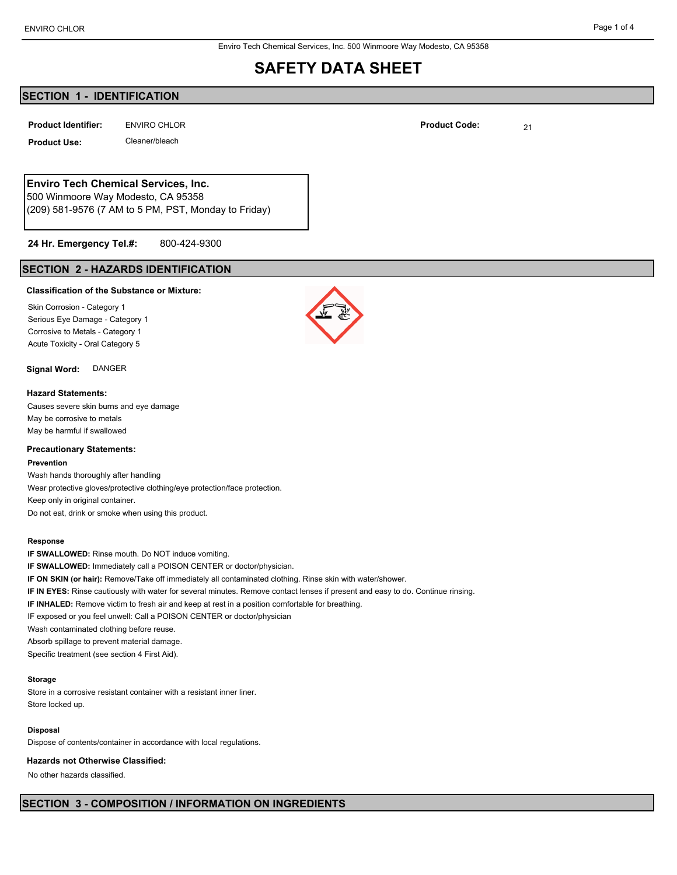Enviro Tech Chemical Services, Inc. 500 Winmoore Way Modesto, CA 95358

## **SAFETY DATA SHEET**

## **SECTION 1 - IDENTIFICATION**

**ENVIRO CHLOR Product Identifier: Product Code:** 21

**Product Use:** Cleaner/bleach

## **Enviro Tech Chemical Services, Inc.**

500 Winmoore Way Modesto, CA 95358 (209) 581-9576 (7 AM to 5 PM, PST, Monday to Friday)

#### 800-424-9300 **24 Hr. Emergency Tel.#:**

## **SECTION 2 - HAZARDS IDENTIFICATION**

#### **Classification of the Substance or Mixture:**

Skin Corrosion - Category 1 Serious Eye Damage - Category 1 Corrosive to Metals - Category 1 Acute Toxicity - Oral Category 5

## **Signal Word:** DANGER

#### **Hazard Statements:**

Causes severe skin burns and eye damage May be corrosive to metals May be harmful if swallowed

#### **Precautionary Statements:**

#### **Prevention**

Wash hands thoroughly after handling Wear protective gloves/protective clothing/eye protection/face protection. Keep only in original container. Do not eat, drink or smoke when using this product.

#### **Response**

**IF SWALLOWED:** Rinse mouth. Do NOT induce vomiting. **IF SWALLOWED:** Immediately call a POISON CENTER or doctor/physician.

**IF ON SKIN (or hair):** Remove/Take off immediately all contaminated clothing. Rinse skin with water/shower.

- **IF IN EYES:** Rinse cautiously with water for several minutes. Remove contact lenses if present and easy to do. Continue rinsing.
- **IF INHALED:** Remove victim to fresh air and keep at rest in a position comfortable for breathing.
- IF exposed or you feel unwell: Call a POISON CENTER or doctor/physician

Wash contaminated clothing before reuse.

Absorb spillage to prevent material damage.

Specific treatment (see section 4 First Aid).

#### **Storage**

Store in a corrosive resistant container with a resistant inner liner. Store locked up.

#### **Disposal**

Dispose of contents/container in accordance with local regulations.

#### **Hazards not Otherwise Classified:**

No other hazards classified.



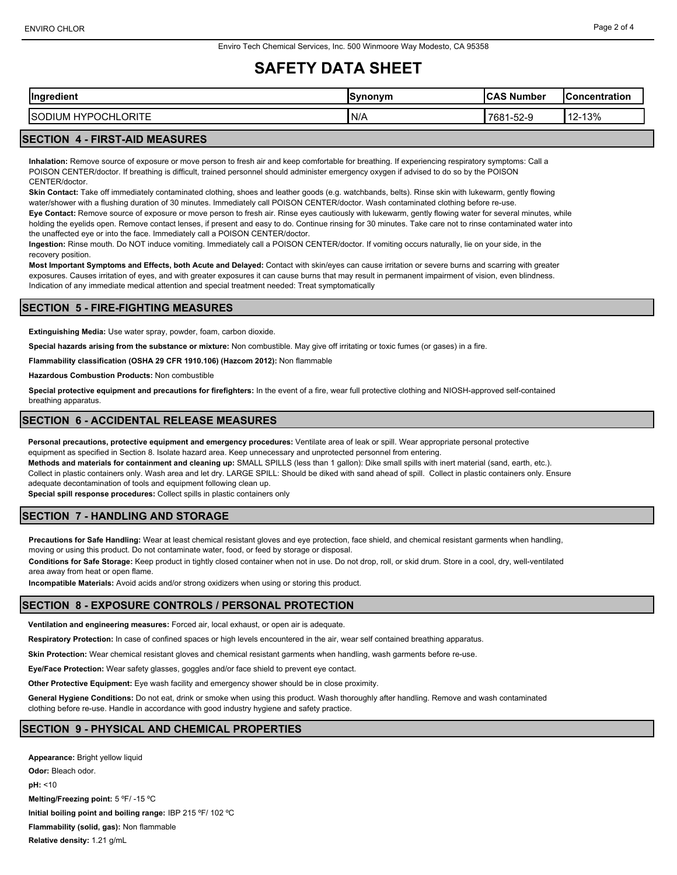# **SAFETY DATA SHEET**

| $\sim$<br>adiant<br>ılnarı<br>ealen                 | ISvnonvm | $\ddot{\phantom{1}}$<br>. Number<br>. .<br>ັ | <b>Concentration</b> |
|-----------------------------------------------------|----------|----------------------------------------------|----------------------|
| ORITE<br>ISC<br>∟∨<br>JCH<br>UM<br>∼<br>л<br>.<br>ີ | 'N/A     | $\sim$ $\sim$<br>7681<br>ש-∠כ-ו              | 2-13%<br>$\Delta$    |

## **SECTION 4 - FIRST-AID MEASURES**

**Inhalation:** Remove source of exposure or move person to fresh air and keep comfortable for breathing. If experiencing respiratory symptoms: Call a POISON CENTER/doctor. If breathing is difficult, trained personnel should administer emergency oxygen if advised to do so by the POISON CENTER/doctor.

**Skin Contact:** Take off immediately contaminated clothing, shoes and leather goods (e.g. watchbands, belts). Rinse skin with lukewarm, gently flowing water/shower with a flushing duration of 30 minutes. Immediately call POISON CENTER/doctor. Wash contaminated clothing before re-use.

**Eye Contact:** Remove source of exposure or move person to fresh air. Rinse eyes cautiously with lukewarm, gently flowing water for several minutes, while holding the eyelids open. Remove contact lenses, if present and easy to do. Continue rinsing for 30 minutes. Take care not to rinse contaminated water into the unaffected eye or into the face. Immediately call a POISON CENTER/doctor.

**Ingestion:** Rinse mouth. Do NOT induce vomiting. Immediately call a POISON CENTER/doctor. If vomiting occurs naturally, lie on your side, in the recovery position.

**Most Important Symptoms and Effects, both Acute and Delayed:** Contact with skin/eyes can cause irritation or severe burns and scarring with greater exposures. Causes irritation of eyes, and with greater exposures it can cause burns that may result in permanent impairment of vision, even blindness. Indication of any immediate medical attention and special treatment needed: Treat symptomatically

### **SECTION 5 - FIRE-FIGHTING MEASURES**

**Extinguishing Media:** Use water spray, powder, foam, carbon dioxide.

**Special hazards arising from the substance or mixture:** Non combustible. May give off irritating or toxic fumes (or gases) in a fire.

**Flammability classification (OSHA 29 CFR 1910.106) (Hazcom 2012):** Non flammable

**Hazardous Combustion Products:** Non combustible

**Special protective equipment and precautions for firefighters:** In the event of a fire, wear full protective clothing and NIOSH-approved self-contained breathing apparatus.

### **SECTION 6 - ACCIDENTAL RELEASE MEASURES**

**Personal precautions, protective equipment and emergency procedures:** Ventilate area of leak or spill. Wear appropriate personal protective equipment as specified in Section 8. Isolate hazard area. Keep unnecessary and unprotected personnel from entering. **Methods and materials for containment and cleaning up:** SMALL SPILLS (less than 1 gallon): Dike small spills with inert material (sand, earth, etc.). Collect in plastic containers only. Wash area and let dry. LARGE SPILL: Should be diked with sand ahead of spill. Collect in plastic containers only. Ensure adequate decontamination of tools and equipment following clean up.

**Special spill response procedures:** Collect spills in plastic containers only

## **SECTION 7 - HANDLING AND STORAGE**

**Precautions for Safe Handling:** Wear at least chemical resistant gloves and eye protection, face shield, and chemical resistant garments when handling, moving or using this product. Do not contaminate water, food, or feed by storage or disposal.

**Conditions for Safe Storage:** Keep product in tightly closed container when not in use. Do not drop, roll, or skid drum. Store in a cool, dry, well-ventilated area away from heat or open flame.

**Incompatible Materials:** Avoid acids and/or strong oxidizers when using or storing this product.

### **SECTION 8 - EXPOSURE CONTROLS / PERSONAL PROTECTION**

**Ventilation and engineering measures:** Forced air, local exhaust, or open air is adequate.

**Respiratory Protection:** In case of confined spaces or high levels encountered in the air, wear self contained breathing apparatus.

**Skin Protection:** Wear chemical resistant gloves and chemical resistant garments when handling, wash garments before re-use.

**Eye/Face Protection:** Wear safety glasses, goggles and/or face shield to prevent eye contact.

**Other Protective Equipment:** Eye wash facility and emergency shower should be in close proximity.

**General Hygiene Conditions:** Do not eat, drink or smoke when using this product. Wash thoroughly after handling. Remove and wash contaminated clothing before re-use. Handle in accordance with good industry hygiene and safety practice.

## **SECTION 9 - PHYSICAL AND CHEMICAL PROPERTIES**

**Appearance:** Bright yellow liquid **Odor:** Bleach odor. **pH:** <10 **Melting/Freezing point:** 5 ºF/ -15 ºC **Initial boiling point and boiling range:** IBP 215 ºF/ 102 ºC **Flammability (solid, gas):** Non flammable **Relative density:** 1.21 g/mL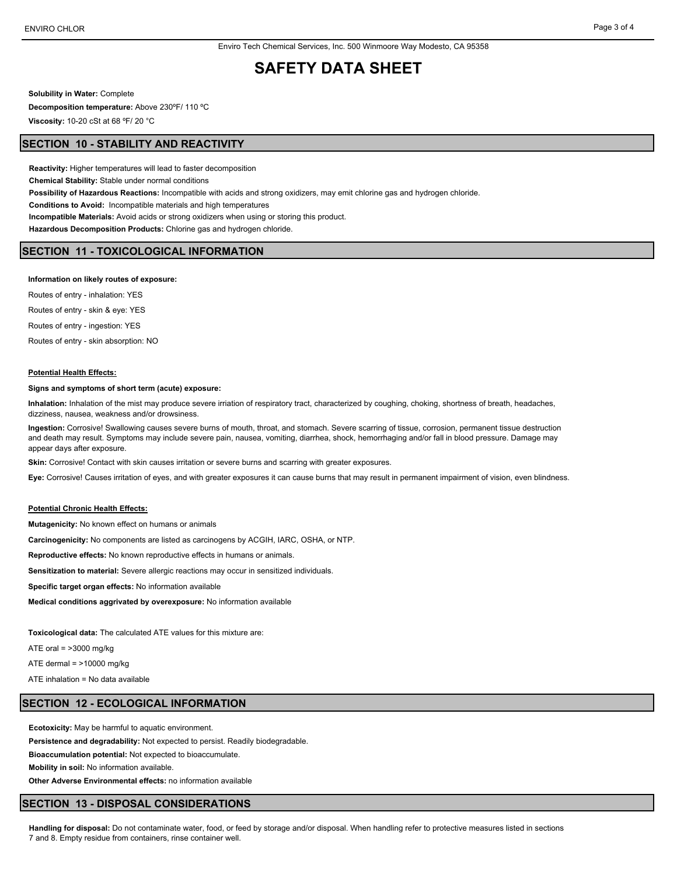## **SAFETY DATA SHEET**

**Solubility in Water:** Complete

**Decomposition temperature:** Above 230ºF/ 110 ºC

**Viscosity:** 10-20 cSt at 68 ºF/ 20 °C

### **SECTION 10 - STABILITY AND REACTIVITY**

**Reactivity:** Higher temperatures will lead to faster decomposition **Chemical Stability:** Stable under normal conditions **Possibility of Hazardous Reactions:** Incompatible with acids and strong oxidizers, may emit chlorine gas and hydrogen chloride. **Conditions to Avoid:** Incompatible materials and high temperatures **Incompatible Materials:** Avoid acids or strong oxidizers when using or storing this product. **Hazardous Decomposition Products:** Chlorine gas and hydrogen chloride.

#### **SECTION 11 - TOXICOLOGICAL INFORMATION**

#### **Information on likely routes of exposure:**

Routes of entry - inhalation: YES Routes of entry - skin & eye: YES Routes of entry - ingestion: YES Routes of entry - skin absorption: NO

#### **Potential Health Effects:**

#### **Signs and symptoms of short term (acute) exposure:**

**Inhalation:** Inhalation of the mist may produce severe irriation of respiratory tract, characterized by coughing, choking, shortness of breath, headaches, dizziness, nausea, weakness and/or drowsiness.

**Ingestion:** Corrosive! Swallowing causes severe burns of mouth, throat, and stomach. Severe scarring of tissue, corrosion, permanent tissue destruction and death may result. Symptoms may include severe pain, nausea, vomiting, diarrhea, shock, hemorrhaging and/or fall in blood pressure. Damage may appear days after exposure.

**Skin:** Corrosive! Contact with skin causes irritation or severe burns and scarring with greater exposures.

**Eye:** Corrosive! Causes irritation of eyes, and with greater exposures it can cause burns that may result in permanent impairment of vision, even blindness.

### **Potential Chronic Health Effects:**

**Mutagenicity:** No known effect on humans or animals

**Carcinogenicity:** No components are listed as carcinogens by ACGIH, IARC, OSHA, or NTP.

**Reproductive effects:** No known reproductive effects in humans or animals.

**Sensitization to material:** Severe allergic reactions may occur in sensitized individuals.

**Specific target organ effects:** No information available

**Medical conditions aggrivated by overexposure:** No information available

**Toxicological data:** The calculated ATE values for this mixture are:

ATE oral  $=$  >3000 mg/kg

ATE dermal  $=$  >10000 mg/kg

ATE inhalation = No data available

## **SECTION 12 - ECOLOGICAL INFORMATION**

**Ecotoxicity:** May be harmful to aquatic environment.

**Persistence and degradability:** Not expected to persist. Readily biodegradable.

**Bioaccumulation potential:** Not expected to bioaccumulate.

**Mobility in soil:** No information available.

**Other Adverse Environmental effects:** no information available

### **SECTION 13 - DISPOSAL CONSIDERATIONS**

**Handling for disposal:** Do not contaminate water, food, or feed by storage and/or disposal. When handling refer to protective measures listed in sections 7 and 8. Empty residue from containers, rinse container well.